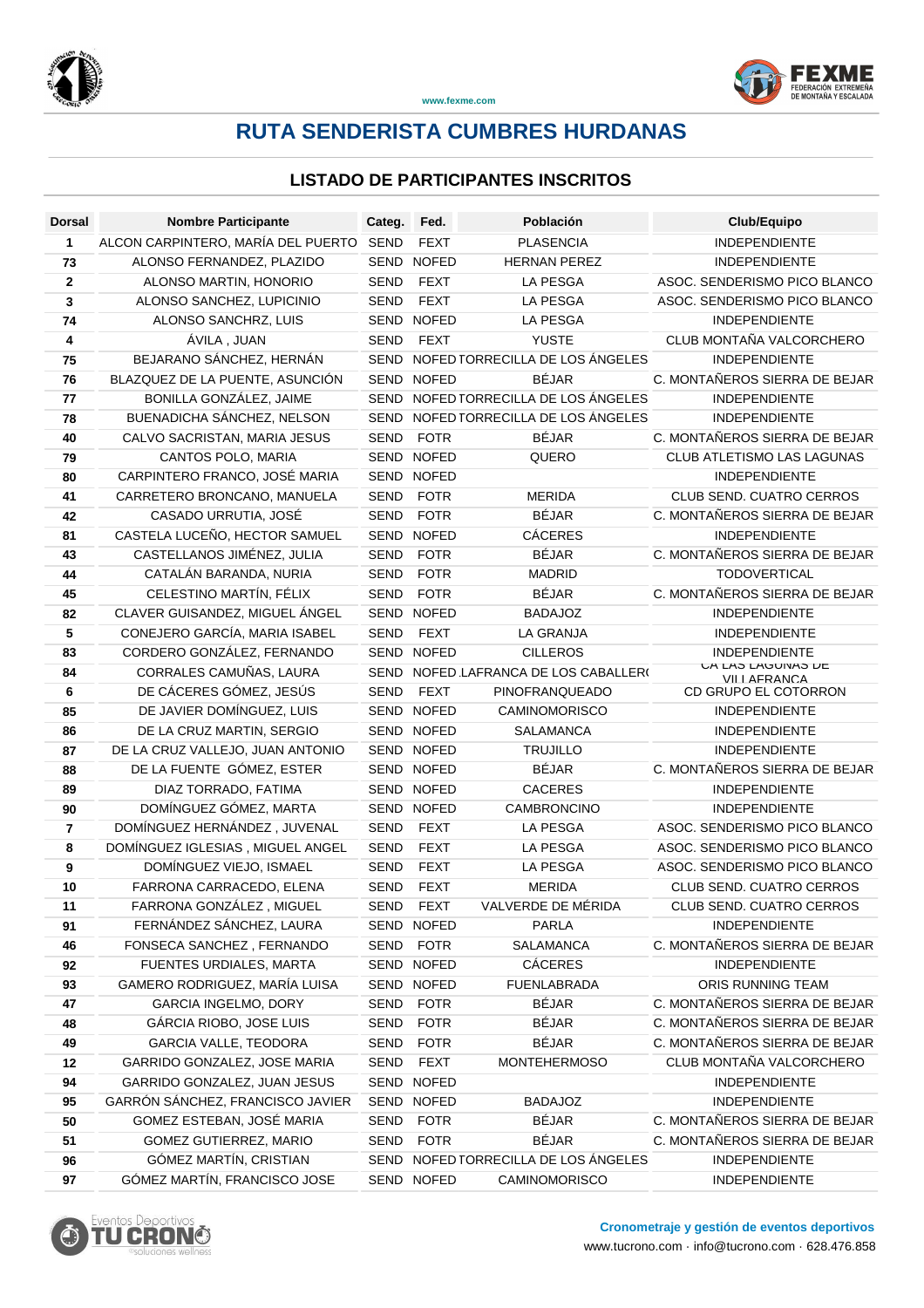

# **RUTA SENDERISTA CUMBRES HURDANAS**

| <b>Dorsal</b> | <b>Nombre Participante</b>                           | Categ.      | Fed.                     | Población                            | Club/Equipo                                          |
|---------------|------------------------------------------------------|-------------|--------------------------|--------------------------------------|------------------------------------------------------|
| 1             | ALCON CARPINTERO, MARÍA DEL PUERTO                   | SEND        | <b>FEXT</b>              | <b>PLASENCIA</b>                     | <b>INDEPENDIENTE</b>                                 |
| 73            | ALONSO FERNANDEZ, PLAZIDO                            | <b>SEND</b> | <b>NOFED</b>             | <b>HERNAN PEREZ</b>                  | <b>INDEPENDIENTE</b>                                 |
| $\mathbf 2$   | ALONSO MARTIN, HONORIO                               | <b>SEND</b> | <b>FEXT</b>              | <b>LA PESGA</b>                      | ASOC. SENDERISMO PICO BLANCO                         |
| 3             | ALONSO SANCHEZ, LUPICINIO                            | <b>SEND</b> | <b>FEXT</b>              | <b>LA PESGA</b>                      | ASOC. SENDERISMO PICO BLANCO                         |
| 74            | ALONSO SANCHRZ, LUIS                                 |             | SEND NOFED               | <b>LA PESGA</b>                      | <b>INDEPENDIENTE</b>                                 |
| 4             | ÁVILA, JUAN                                          | <b>SEND</b> | <b>FEXT</b>              | <b>YUSTE</b>                         | CLUB MONTAÑA VALCORCHERO                             |
| 75            | BEJARANO SÁNCHEZ, HERNÁN                             |             |                          | SEND NOFED TORRECILLA DE LOS ÁNGELES | <b>INDEPENDIENTE</b>                                 |
| 76            | BLAZQUEZ DE LA PUENTE, ASUNCIÓN                      |             | SEND NOFED               | <b>BÉJAR</b>                         | C. MONTAÑEROS SIERRA DE BEJAR                        |
| 77            | BONILLA GONZÁLEZ, JAIME                              |             |                          | SEND NOFED TORRECILLA DE LOS ÁNGELES | <b>INDEPENDIENTE</b>                                 |
| 78            | BUENADICHA SÁNCHEZ, NELSON                           | <b>SEND</b> |                          | NOFED TORRECILLA DE LOS ÁNGELES      | INDEPENDIENTE                                        |
| 40            | CALVO SACRISTAN, MARIA JESUS                         | SEND        | <b>FOTR</b>              | <b>BÉJAR</b>                         | C. MONTAÑEROS SIERRA DE BEJAR                        |
| 79            | CANTOS POLO, MARIA                                   |             | SEND NOFED               | QUERO                                | CLUB ATLETISMO LAS LAGUNAS                           |
| 80            | CARPINTERO FRANCO, JOSÉ MARIA                        | SEND        | <b>NOFED</b>             |                                      | <b>INDEPENDIENTE</b>                                 |
| 41            | CARRETERO BRONCANO, MANUELA                          | <b>SEND</b> | <b>FOTR</b>              | <b>MERIDA</b>                        | CLUB SEND. CUATRO CERROS                             |
| 42            | CASADO URRUTIA, JOSÉ                                 | <b>SEND</b> | <b>FOTR</b>              | <b>BÉJAR</b>                         | C. MONTAÑEROS SIERRA DE BEJAR                        |
| 81            | CASTELA LUCEÑO, HECTOR SAMUEL                        |             | SEND NOFED               | <b>CÁCERES</b>                       | <b>INDEPENDIENTE</b>                                 |
| 43            | CASTELLANOS JIMÉNEZ, JULIA                           | <b>SEND</b> | <b>FOTR</b>              | <b>BÉJAR</b>                         | C. MONTAÑEROS SIERRA DE BEJAR                        |
| 44            | CATALÁN BARANDA, NURIA                               | SEND        | <b>FOTR</b>              | <b>MADRID</b>                        | <b>TODOVERTICAL</b>                                  |
| 45            | CELESTINO MARTÍN, FÉLIX                              | SEND        | <b>FOTR</b>              | <b>BÉJAR</b>                         | C. MONTAÑEROS SIERRA DE BEJAR                        |
| 82            | CLAVER GUISANDEZ, MIGUEL ÁNGEL                       |             | SEND NOFED               | <b>BADAJOZ</b>                       | <b>INDEPENDIENTE</b>                                 |
| 5             | CONEJERO GARCÍA, MARIA ISABEL                        | <b>SEND</b> | <b>FEXT</b>              | <b>LA GRANJA</b>                     | <b>INDEPENDIENTE</b>                                 |
| 83            | CORDERO GONZÁLEZ, FERNANDO                           |             | SEND NOFED               | <b>CILLEROS</b>                      | <b>INDEPENDIENTE</b><br>UA LAJ LAUUINAJ LE           |
| 84            | CORRALES CAMUÑAS, LAURA                              | <b>SEND</b> |                          | NOFED LAFRANCA DE LOS CABALLERO      | VILLAFRANCA                                          |
| 6             | DE CÁCERES GÓMEZ, JESÚS                              | <b>SEND</b> | <b>FEXT</b>              | PINOFRANQUEADO                       | CD GRUPO EL COTORRON                                 |
| 85            | DE JAVIER DOMÍNGUEZ, LUIS                            |             | SEND NOFED               | <b>CAMINOMORISCO</b>                 | <b>INDEPENDIENTE</b>                                 |
| 86            | DE LA CRUZ MARTIN, SERGIO                            |             | SEND NOFED               | <b>SALAMANCA</b>                     | <b>INDEPENDIENTE</b>                                 |
| 87            | DE LA CRUZ VALLEJO, JUAN ANTONIO                     |             | SEND NOFED               | <b>TRUJILLO</b>                      | <b>INDEPENDIENTE</b>                                 |
| 88            | DE LA FUENTE GÓMEZ, ESTER                            |             | SEND NOFED               | <b>BÉJAR</b>                         | C. MONTAÑEROS SIERRA DE BEJAR                        |
| 89            | DIAZ TORRADO, FATIMA                                 |             | SEND NOFED               | <b>CACERES</b>                       | <b>INDEPENDIENTE</b>                                 |
| 90            | DOMÍNGUEZ GÓMEZ, MARTA                               |             | SEND NOFED               | CAMBRONCINO                          | <b>INDEPENDIENTE</b>                                 |
| 7             | DOMÍNGUEZ HERNÁNDEZ, JUVENAL                         | SEND        | <b>FEXT</b>              | <b>LA PESGA</b>                      | ASOC. SENDERISMO PICO BLANCO                         |
| 8             | DOMÍNGUEZ IGLESIAS, MIGUEL ANGEL                     | SEND        | <b>FEXT</b>              | LA PESGA                             | ASOC. SENDERISMO PICO BLANCO                         |
| 9             | DOMÍNGUEZ VIEJO, ISMAEL                              | <b>SEND</b> | <b>FEXT</b>              | <b>LA PESGA</b>                      | ASOC. SENDERISMO PICO BLANCO                         |
| 10            | FARRONA CARRACEDO, ELENA<br>FARRONA GONZÁLEZ, MIGUEL | <b>SEND</b> | <b>FEXT</b><br>SEND FEXT | <b>MERIDA</b><br>VALVERDE DE MÉRIDA  | CLUB SEND. CUATRO CERROS<br>CLUB SEND. CUATRO CERROS |
| 11<br>91      | FERNÁNDEZ SÁNCHEZ, LAURA                             |             | SEND NOFED               | PARLA                                | INDEPENDIENTE                                        |
| 46            | FONSECA SANCHEZ, FERNANDO                            |             | SEND FOTR                | SALAMANCA                            | C. MONTAÑEROS SIERRA DE BEJAR                        |
| 92            | FUENTES URDIALES, MARTA                              |             | SEND NOFED               | <b>CÁCERES</b>                       | <b>INDEPENDIENTE</b>                                 |
| 93            | GAMERO RODRIGUEZ, MARÍA LUISA                        |             | SEND NOFED               | <b>FUENLABRADA</b>                   | ORIS RUNNING TEAM                                    |
| 47            | <b>GARCIA INGELMO, DORY</b>                          | SEND        | <b>FOTR</b>              | <b>BÉJAR</b>                         | C. MONTAÑEROS SIERRA DE BEJAR                        |
| 48            | GÁRCIA RIOBO, JOSE LUIS                              | SEND        | <b>FOTR</b>              | BÉJAR                                | C. MONTAÑEROS SIERRA DE BEJAR                        |
| 49            | GARCIA VALLE, TEODORA                                | <b>SEND</b> | <b>FOTR</b>              | <b>BÉJAR</b>                         | C. MONTAÑEROS SIERRA DE BEJAR                        |
| 12            | GARRIDO GONZALEZ, JOSE MARIA                         | <b>SEND</b> | <b>FEXT</b>              | <b>MONTEHERMOSO</b>                  | CLUB MONTAÑA VALCORCHERO                             |
| 94            | GARRIDO GONZALEZ, JUAN JESUS                         |             | SEND NOFED               |                                      | <b>INDEPENDIENTE</b>                                 |
| 95            | GARRÓN SÁNCHEZ, FRANCISCO JAVIER                     |             | SEND NOFED               | <b>BADAJOZ</b>                       | <b>INDEPENDIENTE</b>                                 |
| 50            | GOMEZ ESTEBAN, JOSÉ MARIA                            | SEND        | <b>FOTR</b>              | <b>BÉJAR</b>                         | C. MONTAÑEROS SIERRA DE BEJAR                        |
| 51            | GOMEZ GUTIERREZ, MARIO                               | SEND        | <b>FOTR</b>              | <b>BÉJAR</b>                         | C. MONTAÑEROS SIERRA DE BEJAR                        |
| 96            | GÓMEZ MARTÍN, CRISTIAN                               |             |                          | SEND NOFED TORRECILLA DE LOS ÁNGELES | <b>INDEPENDIENTE</b>                                 |
| 97            | GÓMEZ MARTÍN, FRANCISCO JOSE                         |             | SEND NOFED               | CAMINOMORISCO                        | <b>INDEPENDIENTE</b>                                 |
|               |                                                      |             |                          |                                      |                                                      |

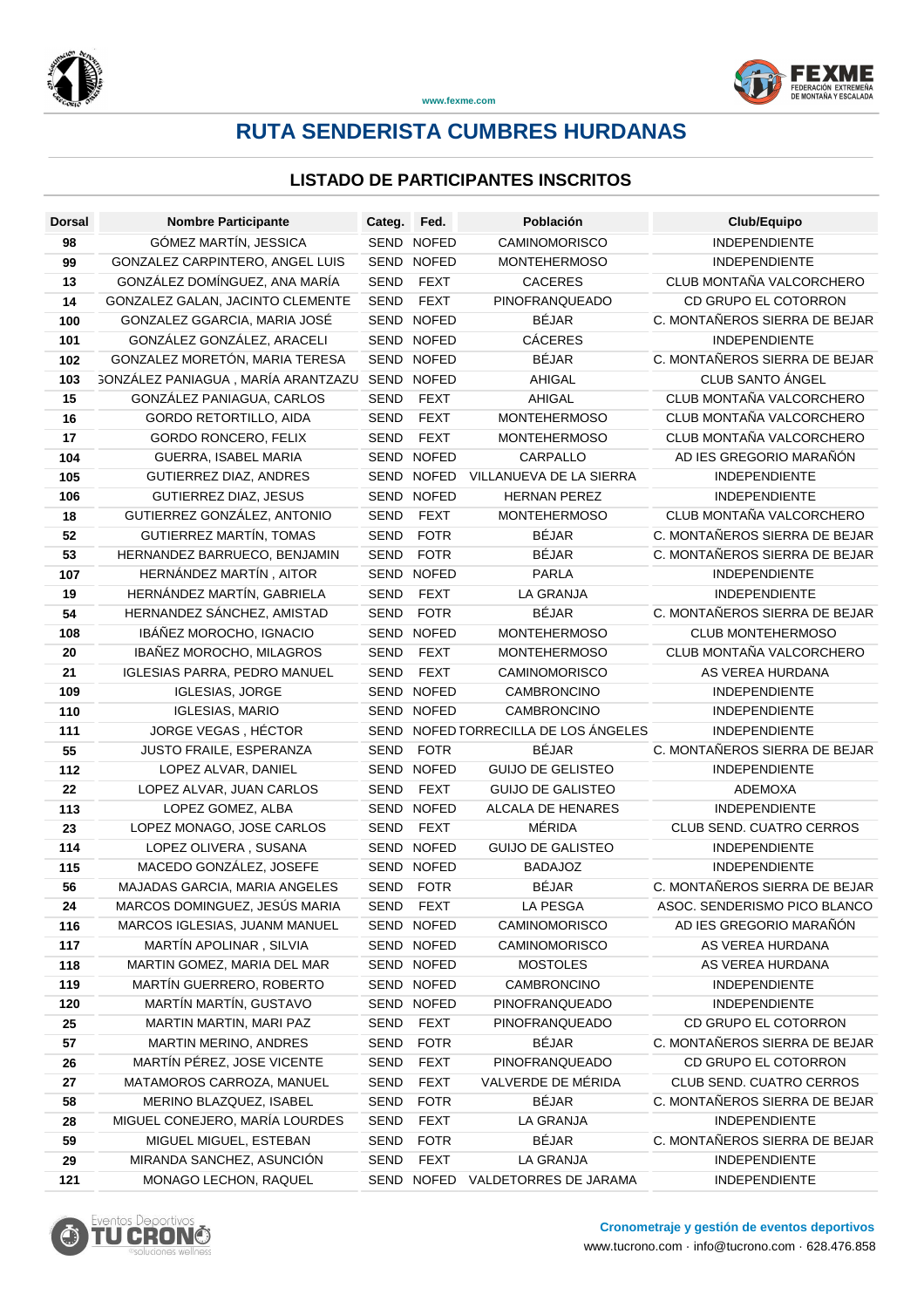

# **RUTA SENDERISTA CUMBRES HURDANAS**

| <b>Dorsal</b> | <b>Nombre Participante</b>                | Categ.      | Fed.         | Población                            | Club/Equipo                     |
|---------------|-------------------------------------------|-------------|--------------|--------------------------------------|---------------------------------|
| 98            | GÓMEZ MARTÍN, JESSICA                     |             | SEND NOFED   | <b>CAMINOMORISCO</b>                 | <b>INDEPENDIENTE</b>            |
| 99            | GONZALEZ CARPINTERO, ANGEL LUIS           | <b>SEND</b> | <b>NOFED</b> | <b>MONTEHERMOSO</b>                  | <b>INDEPENDIENTE</b>            |
| 13            | GONZÁLEZ DOMÍNGUEZ, ANA MARÍA             | <b>SEND</b> | <b>FEXT</b>  | <b>CACERES</b>                       | CLUB MONTAÑA VALCORCHERO        |
| 14            | GONZALEZ GALAN, JACINTO CLEMENTE          | <b>SEND</b> | <b>FEXT</b>  | PINOFRANQUEADO                       | CD GRUPO EL COTORRON            |
| 100           | GONZALEZ GGARCIA, MARIA JOSÉ              |             | SEND NOFED   | <b>BÉJAR</b>                         | C. MONTAÑEROS SIERRA DE BEJAR   |
| 101           | GONZÁLEZ GONZÁLEZ, ARACELI                |             | SEND NOFED   | <b>CÁCERES</b>                       | <b>INDEPENDIENTE</b>            |
| 102           | GONZALEZ MORETÓN, MARIA TERESA            |             | SEND NOFED   | <b>BÉJAR</b>                         | C. MONTAÑEROS SIERRA DE BEJAR   |
| 103           | <b>GONZÁLEZ PANIAGUA, MARÍA ARANTZAZU</b> |             | SEND NOFED   | <b>AHIGAL</b>                        | CLUB SANTO ÁNGEL                |
| 15            | GONZÁLEZ PANIAGUA, CARLOS                 | SEND        | <b>FEXT</b>  | <b>AHIGAL</b>                        | CLUB MONTAÑA VALCORCHERO        |
| 16            | <b>GORDO RETORTILLO, AIDA</b>             | SEND        | <b>FEXT</b>  | <b>MONTEHERMOSO</b>                  | CLUB MONTAÑA VALCORCHERO        |
| 17            | GORDO RONCERO, FELIX                      | SEND        | <b>FEXT</b>  | <b>MONTEHERMOSO</b>                  | CLUB MONTAÑA VALCORCHERO        |
| 104           | GUERRA, ISABEL MARIA                      |             | SEND NOFED   | CARPALLO                             | AD IES GREGORIO MARAÑÓN         |
| 105           | GUTIERREZ DIAZ, ANDRES                    | SEND        | <b>NOFED</b> | VILLANUEVA DE LA SIERRA              | INDEPENDIENTE                   |
| 106           | GUTIERREZ DIAZ, JESUS                     |             | SEND NOFED   | <b>HERNAN PEREZ</b>                  | INDEPENDIENTE                   |
| 18            | GUTIERREZ GONZÁLEZ, ANTONIO               | <b>SEND</b> | <b>FEXT</b>  | <b>MONTEHERMOSO</b>                  | CLUB MONTAÑA VALCORCHERO        |
| 52            | GUTIERREZ MARTÍN, TOMAS                   | SEND        | <b>FOTR</b>  | <b>BÉJAR</b>                         | C. MONTAÑEROS SIERRA DE BEJAR   |
| 53            | HERNANDEZ BARRUECO, BENJAMIN              | SEND        | <b>FOTR</b>  | <b>BÉJAR</b>                         | C. MONTAÑEROS SIERRA DE BEJAR   |
| 107           | HERNÁNDEZ MARTÍN, AITOR                   |             | SEND NOFED   | <b>PARLA</b>                         | <b>INDEPENDIENTE</b>            |
| 19            | HERNÁNDEZ MARTÍN, GABRIELA                | SEND        | <b>FEXT</b>  | <b>LA GRANJA</b>                     | INDEPENDIENTE                   |
| 54            | HERNANDEZ SÁNCHEZ, AMISTAD                | SEND        | <b>FOTR</b>  | <b>BÉJAR</b>                         | C. MONTAÑEROS SIERRA DE BEJAR   |
| 108           | IBÁÑEZ MOROCHO, IGNACIO                   |             | SEND NOFED   | <b>MONTEHERMOSO</b>                  | CLUB MONTEHERMOSO               |
| 20            | IBAÑEZ MOROCHO, MILAGROS                  | <b>SEND</b> | <b>FEXT</b>  | <b>MONTEHERMOSO</b>                  | CLUB MONTAÑA VALCORCHERO        |
| 21            | <b>IGLESIAS PARRA, PEDRO MANUEL</b>       | <b>SEND</b> | <b>FEXT</b>  | <b>CAMINOMORISCO</b>                 | AS VEREA HURDANA                |
| 109           | <b>IGLESIAS, JORGE</b>                    |             | SEND NOFED   | CAMBRONCINO                          | <b>INDEPENDIENTE</b>            |
| 110           | <b>IGLESIAS, MARIO</b>                    |             | SEND NOFED   | CAMBRONCINO                          | <b>INDEPENDIENTE</b>            |
| 111           | JORGE VEGAS, HÉCTOR                       |             |              | SEND NOFED TORRECILLA DE LOS ÁNGELES | <b>INDEPENDIENTE</b>            |
| 55            | JUSTO FRAILE, ESPERANZA                   | SEND        | <b>FOTR</b>  | <b>BÉJAR</b>                         | C. MONTAÑEROS SIERRA DE BEJAR   |
| 112           | LOPEZ ALVAR, DANIEL                       |             | SEND NOFED   | <b>GUIJO DE GELISTEO</b>             | INDEPENDIENTE                   |
| 22            | LOPEZ ALVAR, JUAN CARLOS                  | SEND        | <b>FEXT</b>  | <b>GUIJO DE GALISTEO</b>             | <b>ADEMOXA</b>                  |
| 113           | LOPEZ GOMEZ, ALBA                         |             | SEND NOFED   | ALCALA DE HENARES                    | <b>INDEPENDIENTE</b>            |
| 23            | LOPEZ MONAGO, JOSE CARLOS                 | SEND        | <b>FEXT</b>  | MÉRIDA                               | <b>CLUB SEND. CUATRO CERROS</b> |
| 114           | LOPEZ OLIVERA, SUSANA                     |             | SEND NOFED   | <b>GUIJO DE GALISTEO</b>             | <b>INDEPENDIENTE</b>            |
| 115           | MACEDO GONZÁLEZ, JOSEFE                   |             | SEND NOFED   | <b>BADAJOZ</b>                       | <b>INDEPENDIENTE</b>            |
| 56            | MAJADAS GARCIA, MARIA ANGELES             | <b>SEND</b> | <b>FOTR</b>  | <b>BÉJAR</b>                         | C. MONTAÑEROS SIERRA DE BEJAR   |
| 24            | MARCOS DOMINGUEZ, JESÚS MARIA             |             | SEND FEXT    | LA PESGA                             | ASOC. SENDERISMO PICO BLANCO    |
| 116           | MARCOS IGLESIAS, JUANM MANUEL             |             | SEND NOFED   | <b>CAMINOMORISCO</b>                 | AD IES GREGORIO MARAÑÓN         |
| 117           | MARTIN APOLINAR, SILVIA                   |             | SEND NOFED   | <b>CAMINOMORISCO</b>                 | AS VEREA HURDANA                |
| 118           | MARTIN GOMEZ, MARIA DEL MAR               |             | SEND NOFED   | <b>MOSTOLES</b>                      | AS VEREA HURDANA                |
| 119           | MARTÍN GUERRERO, ROBERTO                  |             | SEND NOFED   | CAMBRONCINO                          | INDEPENDIENTE                   |
| 120           | MARTÍN MARTÍN, GUSTAVO                    |             | SEND NOFED   | PINOFRANQUEADO                       | <b>INDEPENDIENTE</b>            |
| 25            | MARTIN MARTIN, MARI PAZ                   | <b>SEND</b> | <b>FEXT</b>  | PINOFRANQUEADO                       | CD GRUPO EL COTORRON            |
| 57            | <b>MARTIN MERINO, ANDRES</b>              | SEND        | <b>FOTR</b>  | <b>BÉJAR</b>                         | C. MONTAÑEROS SIERRA DE BEJAR   |
| 26            | MARTÍN PÉREZ, JOSE VICENTE                | <b>SEND</b> | <b>FEXT</b>  | PINOFRANQUEADO                       | CD GRUPO EL COTORRON            |
| 27            | MATAMOROS CARROZA, MANUEL                 | SEND        | <b>FEXT</b>  | VALVERDE DE MÉRIDA                   | CLUB SEND. CUATRO CERROS        |
| 58            | MERINO BLAZQUEZ, ISABEL                   | <b>SEND</b> | <b>FOTR</b>  | <b>BÉJAR</b>                         | C. MONTAÑEROS SIERRA DE BEJAR   |
| 28            | MIGUEL CONEJERO, MARÍA LOURDES            | SEND        | FEXT         | LA GRANJA                            | INDEPENDIENTE                   |
| 59            | MIGUEL MIGUEL, ESTEBAN                    | SEND        | <b>FOTR</b>  | <b>BÉJAR</b>                         | C. MONTAÑEROS SIERRA DE BEJAR   |
| 29            | MIRANDA SANCHEZ, ASUNCIÓN                 | SEND        | FEXT         | LA GRANJA                            | INDEPENDIENTE                   |
| 121           | MONAGO LECHON, RAQUEL                     |             | SEND NOFED   | VALDETORRES DE JARAMA                | INDEPENDIENTE                   |

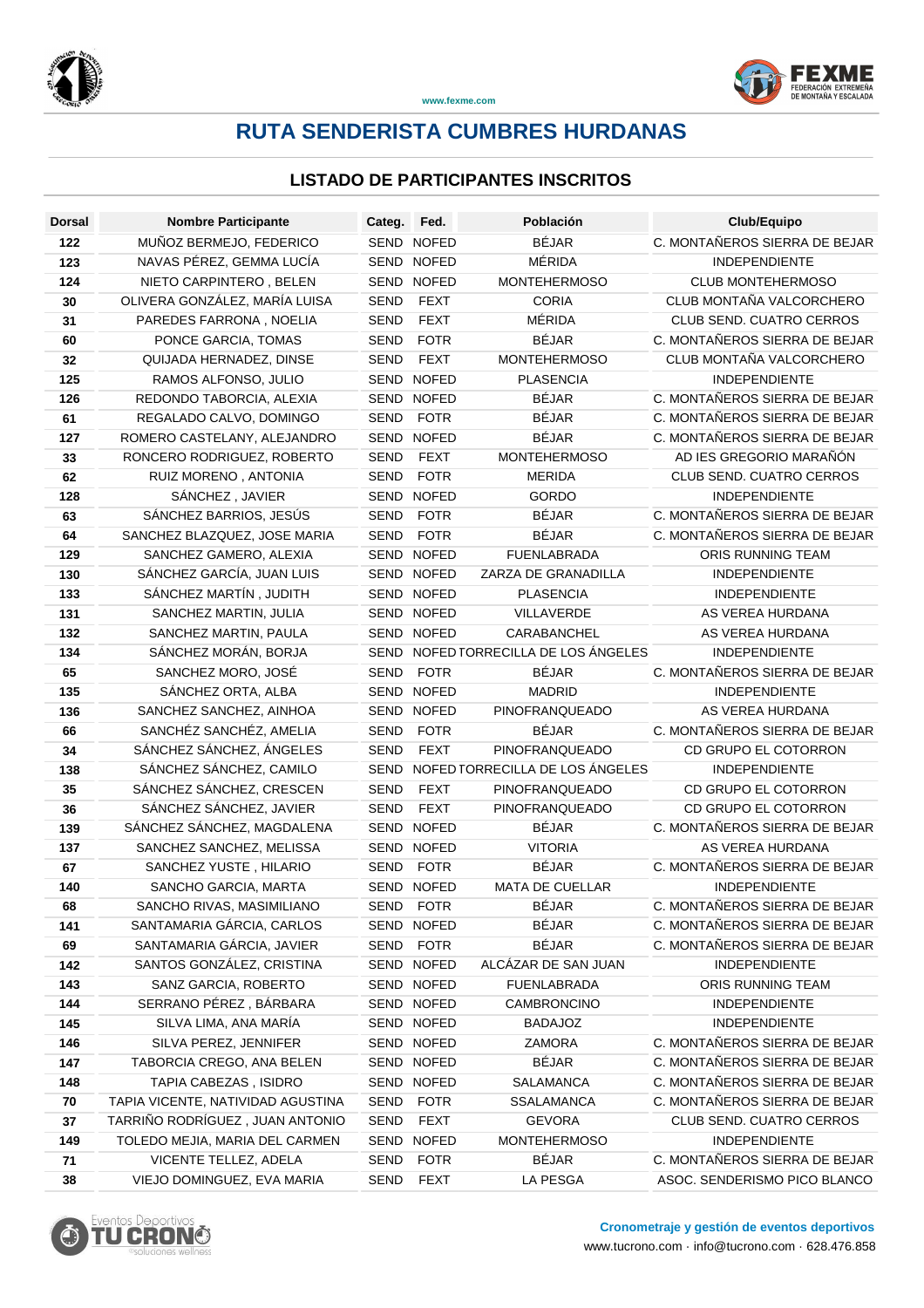

# **RUTA SENDERISTA CUMBRES HURDANAS**

| <b>Dorsal</b> | <b>Nombre Participante</b>        | Categ.      | Fed.         | Población                            | Club/Equipo                     |
|---------------|-----------------------------------|-------------|--------------|--------------------------------------|---------------------------------|
| 122           | MUÑOZ BERMEJO, FEDERICO           |             | SEND NOFED   | <b>BÉJAR</b>                         | C. MONTAÑEROS SIERRA DE BEJAR   |
| 123           | NAVAS PÉREZ, GEMMA LUCÍA          |             | SEND NOFED   | MÉRIDA                               | <b>INDEPENDIENTE</b>            |
| 124           | NIETO CARPINTERO, BELEN           |             | SEND NOFED   | <b>MONTEHERMOSO</b>                  | <b>CLUB MONTEHERMOSO</b>        |
| 30            | OLIVERA GONZÁLEZ, MARÍA LUISA     | <b>SEND</b> | <b>FEXT</b>  | <b>CORIA</b>                         | CLUB MONTAÑA VALCORCHERO        |
| 31            | PAREDES FARRONA, NOELIA           | <b>SEND</b> | <b>FEXT</b>  | MÉRIDA                               | <b>CLUB SEND. CUATRO CERROS</b> |
| 60            | PONCE GARCIA, TOMAS               | <b>SEND</b> | <b>FOTR</b>  | <b>BÉJAR</b>                         | C. MONTAÑEROS SIERRA DE BEJAR   |
| 32            | QUIJADA HERNADEZ, DINSE           | SEND        | <b>FEXT</b>  | <b>MONTEHERMOSO</b>                  | CLUB MONTAÑA VALCORCHERO        |
| 125           | RAMOS ALFONSO, JULIO              |             | SEND NOFED   | <b>PLASENCIA</b>                     | <b>INDEPENDIENTE</b>            |
| 126           | REDONDO TABORCIA, ALEXIA          |             | SEND NOFED   | <b>BÉJAR</b>                         | C. MONTAÑEROS SIERRA DE BEJAR   |
| 61            | REGALADO CALVO, DOMINGO           | SEND        | <b>FOTR</b>  | <b>BÉJAR</b>                         | C. MONTAÑEROS SIERRA DE BEJAR   |
| 127           | ROMERO CASTELANY, ALEJANDRO       |             | SEND NOFED   | <b>BÉJAR</b>                         | C. MONTAÑEROS SIERRA DE BEJAR   |
| 33            | RONCERO RODRIGUEZ, ROBERTO        | SEND        | <b>FEXT</b>  | <b>MONTEHERMOSO</b>                  | AD IES GREGORIO MARAÑÓN         |
| 62            | RUIZ MORENO, ANTONIA              | SEND        | <b>FOTR</b>  | <b>MERIDA</b>                        | CLUB SEND. CUATRO CERROS        |
| 128           | SÁNCHEZ, JAVIER                   | SEND        | <b>NOFED</b> | <b>GORDO</b>                         | <b>INDEPENDIENTE</b>            |
| 63            | SÁNCHEZ BARRIOS, JESÚS            | <b>SEND</b> | <b>FOTR</b>  | <b>BÉJAR</b>                         | C. MONTAÑEROS SIERRA DE BEJAR   |
| 64            | SANCHEZ BLAZQUEZ, JOSE MARIA      | <b>SEND</b> | <b>FOTR</b>  | <b>BÉJAR</b>                         | C. MONTAÑEROS SIERRA DE BEJAR   |
| 129           | SANCHEZ GAMERO, ALEXIA            |             | SEND NOFED   | <b>FUENLABRADA</b>                   | ORIS RUNNING TEAM               |
| 130           | SÁNCHEZ GARCÍA, JUAN LUIS         |             | SEND NOFED   | ZARZA DE GRANADILLA                  | <b>INDEPENDIENTE</b>            |
| 133           | SÁNCHEZ MARTÍN, JUDITH            |             | SEND NOFED   | <b>PLASENCIA</b>                     | INDEPENDIENTE                   |
| 131           | SANCHEZ MARTIN, JULIA             |             | SEND NOFED   | VILLAVERDE                           | AS VEREA HURDANA                |
| 132           | SANCHEZ MARTIN, PAULA             |             | SEND NOFED   | CARABANCHEL                          | AS VEREA HURDANA                |
| 134           | SÁNCHEZ MORÁN, BORJA              |             |              | SEND NOFED TORRECILLA DE LOS ÁNGELES | <b>INDEPENDIENTE</b>            |
| 65            | SANCHEZ MORO, JOSÉ                | <b>SEND</b> | <b>FOTR</b>  | <b>BÉJAR</b>                         | C. MONTAÑEROS SIERRA DE BEJAR   |
| 135           | SÁNCHEZ ORTA, ALBA                |             | SEND NOFED   | <b>MADRID</b>                        | <b>INDEPENDIENTE</b>            |
| 136           | SANCHEZ SANCHEZ, AINHOA           |             | SEND NOFED   | PINOFRANQUEADO                       | AS VEREA HURDANA                |
| 66            | SANCHÉZ SANCHÉZ, AMELIA           | SEND        | <b>FOTR</b>  | <b>BÉJAR</b>                         | C. MONTAÑEROS SIERRA DE BEJAR   |
| 34            | SÁNCHEZ SÁNCHEZ, ÁNGELES          | <b>SEND</b> | <b>FEXT</b>  | PINOFRANQUEADO                       | CD GRUPO EL COTORRON            |
| 138           | SÁNCHEZ SÁNCHEZ, CAMILO           |             |              | SEND NOFED TORRECILLA DE LOS ÁNGELES | <b>INDEPENDIENTE</b>            |
| 35            | SÁNCHEZ SÁNCHEZ, CRESCEN          | SEND        | <b>FEXT</b>  | PINOFRANQUEADO                       | CD GRUPO EL COTORRON            |
| 36            | SÁNCHEZ SÁNCHEZ, JAVIER           | <b>SEND</b> | <b>FEXT</b>  | PINOFRANQUEADO                       | CD GRUPO EL COTORRON            |
| 139           | SÁNCHEZ SÁNCHEZ, MAGDALENA        |             | SEND NOFED   | <b>BÉJAR</b>                         | C. MONTAÑEROS SIERRA DE BEJAR   |
| 137           | SANCHEZ SANCHEZ, MELISSA          |             | SEND NOFED   | <b>VITORIA</b>                       | AS VEREA HURDANA                |
| 67            | SANCHEZ YUSTE, HILARIO            | SEND        | <b>FOTR</b>  | <b>BÉJAR</b>                         | C. MONTAÑEROS SIERRA DE BEJAR   |
| 140           | SANCHO GARCIA, MARTA              |             | SEND NOFED   | <b>MATA DE CUELLAR</b>               | <b>INDEPENDIENTE</b>            |
| 68            | SANCHO RIVAS, MASIMILIANO         |             | SEND FOTR    | <b>BÉJAR</b>                         | C. MONTAÑEROS SIERRA DE BEJAR   |
| 141           | SANTAMARIA GÁRCIA, CARLOS         |             | SEND NOFED   | <b>BÉJAR</b>                         | C. MONTAÑEROS SIERRA DE BEJAR   |
| 69            | SANTAMARIA GÁRCIA, JAVIER         |             | SEND FOTR    | BÉJAR                                | C. MONTAÑEROS SIERRA DE BEJAR   |
| 142           | SANTOS GONZÁLEZ, CRISTINA         |             | SEND NOFED   | ALCAZAR DE SAN JUAN                  | INDEPENDIENTE                   |
| 143           | SANZ GARCIA, ROBERTO              |             | SEND NOFED   | <b>FUENLABRADA</b>                   | ORIS RUNNING TEAM               |
| 144           | SERRANO PÉREZ, BÁRBARA            |             | SEND NOFED   | CAMBRONCINO                          | <b>INDEPENDIENTE</b>            |
| 145           | SILVA LIMA, ANA MARÍA             |             | SEND NOFED   | <b>BADAJOZ</b>                       | <b>INDEPENDIENTE</b>            |
| 146           | SILVA PEREZ, JENNIFER             |             | SEND NOFED   | ZAMORA                               | C. MONTAÑEROS SIERRA DE BEJAR   |
| 147           | TABORCIA CREGO, ANA BELEN         |             | SEND NOFED   | <b>BÉJAR</b>                         | C. MONTAÑEROS SIERRA DE BEJAR   |
| 148           | TAPIA CABEZAS, ISIDRO             |             | SEND NOFED   | <b>SALAMANCA</b>                     | C. MONTAÑEROS SIERRA DE BEJAR   |
| 70            | TAPIA VICENTE, NATIVIDAD AGUSTINA | SEND        | <b>FOTR</b>  | SSALAMANCA                           | C. MONTAÑEROS SIERRA DE BEJAR   |
| 37            | TARRIÑO RODRÍGUEZ, JUAN ANTONIO   | <b>SEND</b> | FEXT         | <b>GEVORA</b>                        | CLUB SEND. CUATRO CERROS        |
| 149           | TOLEDO MEJIA, MARIA DEL CARMEN    |             | SEND NOFED   | <b>MONTEHERMOSO</b>                  | <b>INDEPENDIENTE</b>            |
| 71            | VICENTE TELLEZ, ADELA             | SEND        | FOTR         | <b>BÉJAR</b>                         | C. MONTAÑEROS SIERRA DE BEJAR   |
| 38            | VIEJO DOMINGUEZ, EVA MARIA        | SEND        | <b>FEXT</b>  | LA PESGA                             | ASOC. SENDERISMO PICO BLANCO    |